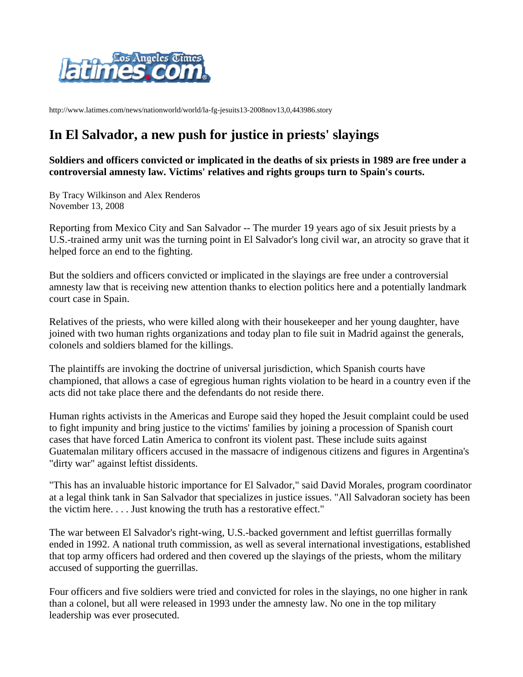

http://www.latimes.com/news/nationworld/world/la-fg-jesuits13-2008nov13,0,443986.story

## **In El Salvador, a new push for justice in priests' slayings**

**Soldiers and officers convicted or implicated in the deaths of six priests in 1989 are free under a controversial amnesty law. Victims' relatives and rights groups turn to Spain's courts.** 

By Tracy Wilkinson and Alex Renderos November 13, 2008

Reporting from Mexico City and San Salvador -- The murder 19 years ago of six Jesuit priests by a U.S.-trained army unit was the turning point in El Salvador's long civil war, an atrocity so grave that it helped force an end to the fighting.

But the soldiers and officers convicted or implicated in the slayings are free under a controversial amnesty law that is receiving new attention thanks to election politics here and a potentially landmark court case in Spain.

Relatives of the priests, who were killed along with their housekeeper and her young daughter, have joined with two human rights organizations and today plan to file suit in Madrid against the generals, colonels and soldiers blamed for the killings.

The plaintiffs are invoking the doctrine of universal jurisdiction, which Spanish courts have championed, that allows a case of egregious human rights violation to be heard in a country even if the acts did not take place there and the defendants do not reside there.

Human rights activists in the Americas and Europe said they hoped the Jesuit complaint could be used to fight impunity and bring justice to the victims' families by joining a procession of Spanish court cases that have forced Latin America to confront its violent past. These include suits against Guatemalan military officers accused in the massacre of indigenous citizens and figures in Argentina's "dirty war" against leftist dissidents.

"This has an invaluable historic importance for El Salvador," said David Morales, program coordinator at a legal think tank in San Salvador that specializes in justice issues. "All Salvadoran society has been the victim here. . . . Just knowing the truth has a restorative effect."

The war between El Salvador's right-wing, U.S.-backed government and leftist guerrillas formally ended in 1992. A national truth commission, as well as several international investigations, established that top army officers had ordered and then covered up the slayings of the priests, whom the military accused of supporting the guerrillas.

Four officers and five soldiers were tried and convicted for roles in the slayings, no one higher in rank than a colonel, but all were released in 1993 under the amnesty law. No one in the top military leadership was ever prosecuted.